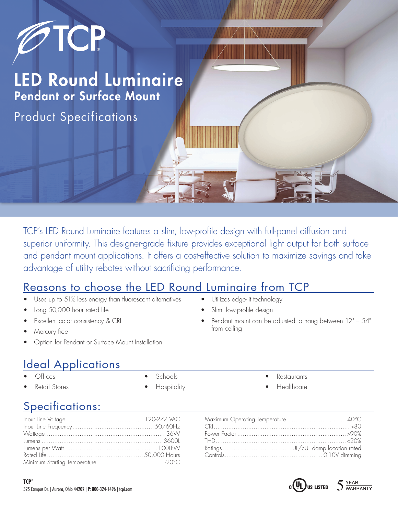

TCP's LED Round Luminaire features a slim, low-profile design with full-panel diffusion and superior uniformity. This designer-grade fixture provides exceptional light output for both surface and pendant mount applications. It offers a cost-effective solution to maximize savings and take advantage of utility rebates without sacrificing performance.

## Reasons to choose the LED Round Luminaire from TCP

- Uses up to 51% less energy than fluorescent alternatives
- Long 50,000 hour rated life
- Excellent color consistency & CRI
- Mercury free
- Option for Pendant or Surface Mount Installation

## **Ideal Applications**

- Offices
- Retail Stores
- Schools
- Hospitality

**Restaurants** 

• Pendant mount can be adjusted to hang between 12" – 54"

Utilizes edge-lit technology Slim, low-profile design

from ceiling

**Healthcare** 

## Specifications: